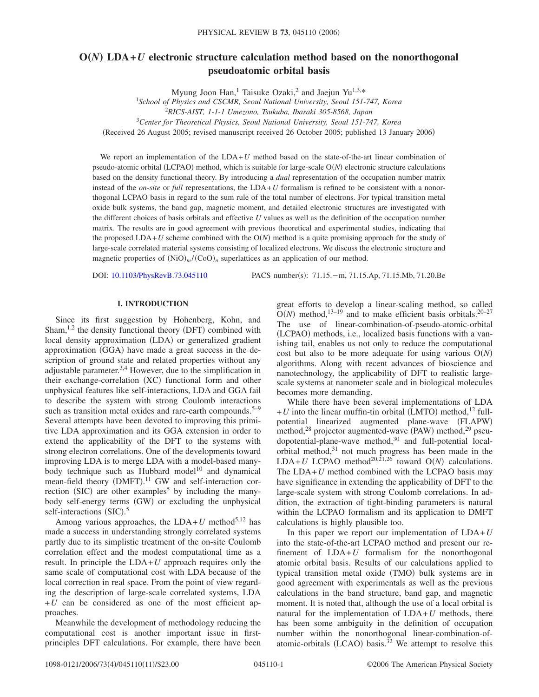# $O(N)$  LDA+*U* electronic structure calculation method based on the nonorthogonal **pseudoatomic orbital basis**

Myung Joon Han,<sup>1</sup> Taisuke Ozaki,<sup>2</sup> and Jaejun Yu<sup>1,3,\*</sup><br><sup>1</sup>School of Physics and CSCMR, Seoul National University, Seoul 151-747, Korea

<sup>2</sup>*RICS-AIST, 1-1-1 Umezono, Tsukuba, Ibaraki 305-8568, Japan*

3 *Center for Theoretical Physics, Seoul National University, Seoul 151-747, Korea*

(Received 26 August 2005; revised manuscript received 26 October 2005; published 13 January 2006)

We report an implementation of the LDA+*U* method based on the state-of-the-art linear combination of pseudo-atomic orbital (LCPAO) method, which is suitable for large-scale O(N) electronic structure calculations based on the density functional theory. By introducing a *dual* representation of the occupation number matrix instead of the *on-site* or *full* representations, the LDA+*U* formalism is refined to be consistent with a nonorthogonal LCPAO basis in regard to the sum rule of the total number of electrons. For typical transition metal oxide bulk systems, the band gap, magnetic moment, and detailed electronic structures are investigated with the different choices of basis orbitals and effective *U* values as well as the definition of the occupation number matrix. The results are in good agreement with previous theoretical and experimental studies, indicating that the proposed  $LDA+U$  scheme combined with the  $O(N)$  method is a quite promising approach for the study of large-scale correlated material systems consisting of localized electrons. We discuss the electronic structure and magnetic properties of  $(NiO)<sub>m</sub>$ /(CoO)<sub>n</sub> superlattices as an application of our method.

DOI: [10.1103/PhysRevB.73.045110](http://dx.doi.org/10.1103/PhysRevB.73.045110)

PACS number(s): 71.15. - m, 71.15. Ap, 71.15. Mb, 71.20. Be

# **I. INTRODUCTION**

Since its first suggestion by Hohenberg, Kohn, and Sham, $1,2$  the density functional theory (DFT) combined with local density approximation (LDA) or generalized gradient approximation (GGA) have made a great success in the description of ground state and related properties without any adjustable parameter.3,4 However, due to the simplification in their exchange-correlation (XC) functional form and other unphysical features like self-interactions, LDA and GGA fail to describe the system with strong Coulomb interactions such as transition metal oxides and rare-earth compounds.<sup>5–9</sup> Several attempts have been devoted to improving this primitive LDA approximation and its GGA extension in order to extend the applicability of the DFT to the systems with strong electron correlations. One of the developments toward improving LDA is to merge LDA with a model-based manybody technique such as Hubbard model<sup>10</sup> and dynamical mean-field theory (DMFT).<sup>11</sup> GW and self-interaction correction (SIC) are other examples<sup>5</sup> by including the manybody self-energy terms (GW) or excluding the unphysical self-interactions (SIC).<sup>5</sup>

Among various approaches, the  $LDA+U$  method<sup>5,12</sup> has made a success in understanding strongly correlated systems partly due to its simplistic treatment of the on-site Coulomb correlation effect and the modest computational time as a result. In principle the LDA+*U* approach requires only the same scale of computational cost with LDA because of the local correction in real space. From the point of view regarding the description of large-scale correlated systems, LDA  $+U$  can be considered as one of the most efficient approaches.

Meanwhile the development of methodology reducing the computational cost is another important issue in firstprinciples DFT calculations. For example, there have been great efforts to develop a linear-scaling method, so called  $O(N)$  method,<sup>13–19</sup> and to make efficient basis orbitals.<sup>20–27</sup> The use of linear-combination-of-pseudo-atomic-orbital (LCPAO) methods, i.e., localized basis functions with a vanishing tail, enables us not only to reduce the computational cost but also to be more adequate for using various O*N* algorithms. Along with recent advances of bioscience and nanotechnology, the applicability of DFT to realistic largescale systems at nanometer scale and in biological molecules becomes more demanding.

While there have been several implementations of LDA  $+ U$  into the linear muffin-tin orbital (LMTO) method,<sup>12</sup> fullpotential linearized augmented plane-wave (FLAPW) method,<sup>28</sup> projector augmented-wave (PAW) method,<sup>29</sup> pseudopotential-plane-wave method,<sup>30</sup> and full-potential localorbital method,<sup>31</sup> not much progress has been made in the LDA+*U* LCPAO method<sup>20,21,26</sup> toward  $O(N)$  calculations. The  $LDA+U$  method combined with the LCPAO basis may have significance in extending the applicability of DFT to the large-scale system with strong Coulomb correlations. In addition, the extraction of tight-binding parameters is natural within the LCPAO formalism and its application to DMFT calculations is highly plausible too.

In this paper we report our implementation of LDA+*U* into the state-of-the-art LCPAO method and present our refinement of LDA+*U* formalism for the nonorthogonal atomic orbital basis. Results of our calculations applied to typical transition metal oxide (TMO) bulk systems are in good agreement with experimentals as well as the previous calculations in the band structure, band gap, and magnetic moment. It is noted that, although the use of a local orbital is natural for the implementation of LDA+*U* methods, there has been some ambiguity in the definition of occupation number within the nonorthogonal linear-combination-ofatomic-orbitals (LCAO) basis.<sup>32</sup> We attempt to resolve this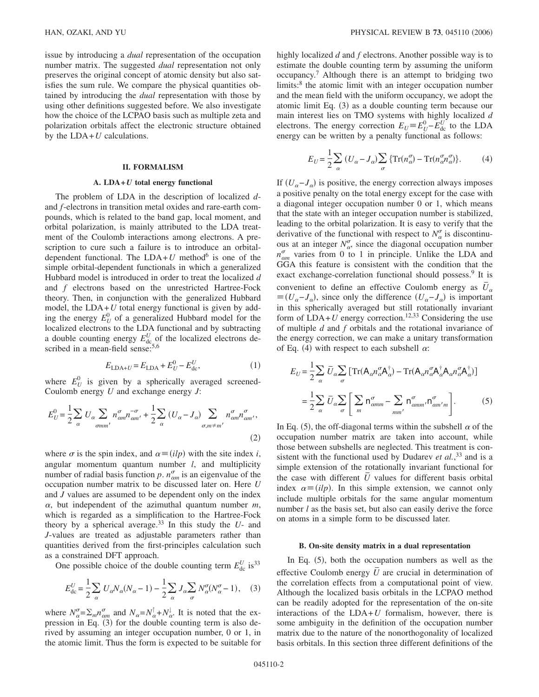issue by introducing a *dual* representation of the occupation number matrix. The suggested *dual* representation not only preserves the original concept of atomic density but also satisfies the sum rule. We compare the physical quantities obtained by introducing the *dual* representation with those by using other definitions suggested before. We also investigate how the choice of the LCPAO basis such as multiple zeta and polarization orbitals affect the electronic structure obtained by the  $LDA+U$  calculations.

#### **II. FORMALISM**

#### **A. LDA+***U* **total energy functional**

The problem of LDA in the description of localized *d*and *f*-electrons in transition metal oxides and rare-earth compounds, which is related to the band gap, local moment, and orbital polarization, is mainly attributed to the LDA treatment of the Coulomb interactions among electrons. A prescription to cure such a failure is to introduce an orbitaldependent functional. The  $LDA+U$  method<sup>6</sup> is one of the simple orbital-dependent functionals in which a generalized Hubbard model is introduced in order to treat the localized *d* and *f* electrons based on the unrestricted Hartree-Fock theory. Then, in conjunction with the generalized Hubbard model, the  $LDA+U$  total energy functional is given by adding the energy  $E_U^0$  of a generalized Hubbard model for the localized electrons to the LDA functional and by subtracting a double counting energy  $E_{\text{dc}}^{U}$  of the localized electrons described in a mean-field sense:<sup>5,6</sup>

$$
E_{\text{LDA}+U} = E_{\text{LDA}} + E_U^0 - E_{\text{dc}}^U,\tag{1}
$$

where  $E_U^0$  is given by a spherically averaged screened-Coulomb energy *U* and exchange energy *J*:

$$
E_U^0 = \frac{1}{2} \sum_{\alpha} U_{\alpha} \sum_{\sigma m m'} n_{\alpha m}^{\sigma} n_{\alpha m'}^{\sigma} + \frac{1}{2} \sum_{\alpha} (U_{\alpha} - J_{\alpha}) \sum_{\sigma, m \neq m'} n_{\alpha m}^{\sigma} n_{\alpha m'}^{\sigma},
$$
\n(2)

where  $\sigma$  is the spin index, and  $\alpha \equiv (ilp)$  with the site index *i*, angular momentum quantum number *l*, and multiplicity number of radial basis function  $p$ .  $n_{\text{am}}^{\sigma}$  is an eigenvalue of the occupation number matrix to be discussed later on. Here *U* and *J* values are assumed to be dependent only on the index  $\alpha$ , but independent of the azimuthal quantum number  $m$ , which is regarded as a simplification to the Hartree-Fock theory by a spherical average.<sup>33</sup> In this study the  $U$ - and *J*-values are treated as adjustable parameters rather than quantities derived from the first-principles calculation such as a constrained DFT approach.

One possible choice of the double counting term  $E_{\text{dc}}^{U}$  is<sup>33</sup>

$$
E_{\rm dc}^U = \frac{1}{2} \sum_{\alpha} U_{\alpha} N_{\alpha} (N_{\alpha} - 1) - \frac{1}{2} \sum_{\alpha} J_{\alpha} \sum_{\sigma} N_{\alpha}^{\sigma} (N_{\alpha}^{\sigma} - 1), \quad (3)
$$

where  $N_{\alpha}^{\sigma} = \sum_{m} n_{\alpha m}^{\sigma}$  and  $N_{\alpha} = N_{\alpha}^{\dagger} + N_{\alpha}^{\dagger}$ . It is noted that the expression in Eq.  $(3)$  for the double counting term is also derived by assuming an integer occupation number, 0 or 1, in the atomic limit. Thus the form is expected to be suitable for highly localized *d* and *f* electrons. Another possible way is to estimate the double counting term by assuming the uniform occupancy.7 Although there is an attempt to bridging two limits:<sup>8</sup> the atomic limit with an integer occupation number and the mean field with the uniform occupancy, we adopt the atomic limit Eq. (3) as a double counting term because our main interest lies on TMO systems with highly localized *d* electrons. The energy correction  $E_U = E_U^0 - E_{dc}^U$  to the LDA energy can be written by a penalty functional as follows:

$$
E_U = \frac{1}{2} \sum_{\alpha} \left( U_{\alpha} - J_{\alpha} \right) \sum_{\sigma} \{ \text{Tr}(n_{\alpha}^{\sigma}) - \text{Tr}(n_{\alpha}^{\sigma} n_{\alpha}^{\sigma}) \}.
$$
 (4)

If  $(U_{\alpha} - J_{\alpha})$  is positive, the energy correction always imposes a positive penalty on the total energy except for the case with a diagonal integer occupation number 0 or 1, which means that the state with an integer occupation number is stabilized, leading to the orbital polarization. It is easy to verify that the derivative of the functional with respect to  $N_{\alpha}^{\sigma}$  is discontinuous at an integer  $N_{\alpha}^{\sigma}$ , since the diagonal occupation number  $n_{\text{cm}}^{\sigma}$  varies from 0 to 1 in principle. Unlike the LDA and GGA this feature is consistent with the condition that the exact exchange-correlation functional should possess.<sup>9</sup> It is convenient to define an effective Coulomb energy as  $\bar{U}_{\alpha}$  $\equiv (U_{\alpha} - J_{\alpha})$ , since only the difference  $(U_{\alpha} - J_{\alpha})$  is important in this spherically averaged but still rotationally invariant form of  $LDA+U$  energy correction.<sup>12,33</sup> Considering the use of multiple *d* and *f* orbitals and the rotational invariance of the energy correction, we can make a unitary transformation of Eq. (4) with respect to each subshell  $\alpha$ :

$$
E_U = \frac{1}{2} \sum_{\alpha} \bar{U}_{\alpha} \sum_{\sigma} \left[ \text{Tr} (\mathbf{A}_{\alpha} n_{\alpha}^{\sigma} \mathbf{A}_{\alpha}^{\dagger}) - \text{Tr} (\mathbf{A}_{\alpha} n_{\alpha}^{\sigma} \mathbf{A}_{\alpha}^{\dagger} \mathbf{A}_{\alpha} n_{\alpha}^{\sigma} \mathbf{A}_{\alpha}^{\dagger}) \right]
$$

$$
= \frac{1}{2} \sum_{\alpha} \bar{U}_{\alpha} \sum_{\sigma} \left[ \sum_{m} n_{\alpha m m}^{\sigma} - \sum_{m m'} n_{\alpha m'}^{\sigma} n_{\alpha m' m}^{\sigma} \right]. \tag{5}
$$

In Eq. (5), the off-diagonal terms within the subshell  $\alpha$  of the occupation number matrix are taken into account, while those between subshells are neglected. This treatment is consistent with the functional used by Dudarev *et al.*, <sup>33</sup> and is a simple extension of the rotationally invariant functional for the case with different  $\overline{U}$  values for different basis orbital index  $\alpha \equiv (ilp)$ . In this simple extension, we cannot only include multiple orbitals for the same angular momentum number *l* as the basis set, but also can easily derive the force on atoms in a simple form to be discussed later.

## **B. On-site density matrix in a dual representation**

In Eq. (5), both the occupation numbers as well as the effective Coulomb energy *U* are crucial in determination of the correlation effects from a computational point of view. Although the localized basis orbitals in the LCPAO method can be readily adopted for the representation of the on-site interactions of the LDA+*U* formalism, however, there is some ambiguity in the definition of the occupation number matrix due to the nature of the nonorthogonality of localized basis orbitals. In this section three different definitions of the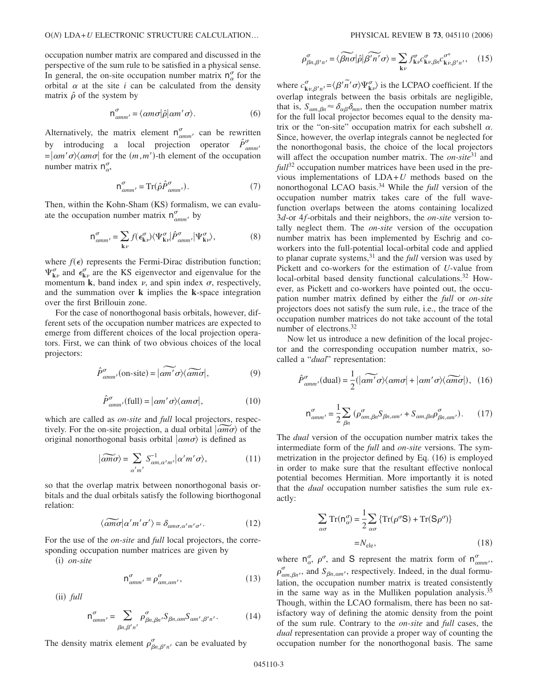occupation number matrix are compared and discussed in the perspective of the sum rule to be satisfied in a physical sense. In general, the on-site occupation number matrix  $n_{\alpha}^{\sigma}$  for the orbital  $\alpha$  at the site  $i$  can be calculated from the density matrix  $\hat{\rho}$  of the system by

$$
\mathsf{n}^{\sigma}_{\alpha m m'} = \langle \alpha m \sigma | \hat{\rho} | \alpha m' \sigma \rangle. \tag{6}
$$

Alternatively, the matrix element  $n_{\text{comm}}^{\sigma}$  can be rewritten by introducing a local projection operator  $\hat{P}^{\sigma}_{\text{comm}}$  $= |\alpha m' \sigma\rangle\langle \alpha m \sigma|$  for the  $(m, m')$ -th element of the occupation number matrix  $n_{\alpha}^{\sigma}$ ,

$$
n^{\sigma}_{\text{amm}'} = \text{Tr}(\hat{\rho}\hat{P}^{\sigma}_{\text{amm}'}). \tag{7}
$$

Then, within the Kohn-Sham (KS) formalism, we can evaluate the occupation number matrix  $n_{\text{amm}}^{\sigma}$  by

$$
\mathsf{n}^{\sigma}_{\alpha m m'} = \sum_{\mathbf{k}\nu} f(\epsilon^{\sigma}_{\mathbf{k}\nu}) \langle \Psi^{\sigma}_{\mathbf{k}\nu} | \hat{P}^{\sigma}_{\alpha m m'} | \Psi^{\sigma}_{\mathbf{k}\nu} \rangle, \tag{8}
$$

where  $f(\epsilon)$  represents the Fermi-Dirac distribution function;  $\Psi_{\mathbf{k}\nu}^{\sigma}$  and  $\epsilon_{\mathbf{k}\nu}^{\sigma}$  are the KS eigenvector and eigenvalue for the momentum **k**, band index  $\nu$ , and spin index  $\sigma$ , respectively, and the summation over **k** implies the **k**-space integration over the first Brillouin zone.

For the case of nonorthogonal basis orbitals, however, different sets of the occupation number matrices are expected to emerge from different choices of the local projection operators. First, we can think of two obvious choices of the local projectors:

$$
\hat{P}^{\sigma}_{\alpha m m'}(on-site) = |\widetilde{\alpha m'}\sigma\rangle\langle\widetilde{\alpha m}\sigma|, \qquad (9)
$$

$$
\hat{P}_{\alpha m m'}^{\sigma}(\text{full}) = |\alpha m' \sigma\rangle \langle \alpha m \sigma|, \qquad (10)
$$

which are called as *on-site* and *full* local projectors, respectively. For the on-site projection, a dual orbital  $|\widetilde{am\sigma}\rangle$  of the original nonorthogonal basis orbital  $\ket{am\sigma}$  is defined as

$$
|\widetilde{\alpha m\sigma}\rangle = \sum_{\alpha'm'} S^{-1}_{\alpha m,\alpha'm'} |\alpha'm'\sigma\rangle, \qquad (11)
$$

so that the overlap matrix between nonorthogonal basis orbitals and the dual orbitals satisfy the following biorthogonal relation:

$$
\langle \widetilde{\alpha m \sigma} | \alpha' m' \sigma' \rangle = \delta_{\alpha m \sigma, \alpha' m' \sigma'}.
$$
 (12)

For the use of the *on-site* and *full* local projectors, the corresponding occupation number matrices are given by

(i) on-site

$$
n^{\sigma}_{\alpha m m'} = \rho^{\sigma}_{\alpha m, \alpha m'}, \tag{13}
$$

(ii) full

$$
n^{\sigma}_{\alpha m m'} = \sum_{\beta n, \beta' n'} \rho^{\sigma}_{\beta n, \beta n'} S_{\beta n, \alpha m} S_{\alpha m', \beta' n'}.
$$
 (14)

The density matrix element  $\rho_{\beta n,\beta' n'}^{\sigma}$  can be evaluated by

$$
PHYSICAL REVIEW B 73, 045110 (2006)
$$

$$
\rho_{\beta n, \beta' n'}^{\sigma} = \langle \widetilde{\beta n \sigma} | \hat{\rho} | \widetilde{\beta' n'} \sigma \rangle = \sum_{k\nu} f_{k\nu}^{\sigma} c_{k\nu, \beta n}^{\sigma} c_{k\nu, \beta' n'}^* , \quad (15)
$$

where  $c_{\mathbf{k}\nu,\beta'n'}^{\sigma} = \langle \beta'\tilde{n'}\sigma \rangle \Psi_{\mathbf{k}\nu}^{\sigma} \rangle$  is the LCPAO coefficient. If the overlap integrals between the basis orbitals are negligible, that is,  $S_{\alpha m, \beta n} \approx \delta_{\alpha \beta} \delta_{mn}$ , then the occupation number matrix for the full local projector becomes equal to the density matrix or the "on-site" occupation matrix for each subshell  $\alpha$ . Since, however, the overlap integrals cannot be neglected for the nonorthogonal basis, the choice of the local projectors will affect the occupation number matrix. The *on-site*<sup>31</sup> and *full*<sup>32</sup> occupation number matrices have been used in the previous implementations of LDA+*U* methods based on the nonorthogonal LCAO basis.34 While the *full* version of the occupation number matrix takes care of the full wavefunction overlaps between the atoms containing localized 3*d*-or 4*f*-orbitals and their neighbors, the *on-site* version totally neglect them. The *on-site* version of the occupation number matrix has been implemented by Eschrig and coworkers into the full-potential local-orbital code and applied to planar cuprate systems,31 and the *full* version was used by Pickett and co-workers for the estimation of *U*-value from local-orbital based density functional calculations.<sup>32</sup> However, as Pickett and co-workers have pointed out, the occupation number matrix defined by either the *full* or *on-site* projectors does not satisfy the sum rule, i.e., the trace of the occupation number matrices do not take account of the total number of electrons.32

Now let us introduce a new definition of the local projector and the corresponding occupation number matrix, socalled a "*dual*" representation:

$$
\hat{P}_{\alpha mm'}^{\sigma}(\text{dual}) = \frac{1}{2} (|\widetilde{\alpha m'}\sigma\rangle\langle \alpha m\sigma| + |\alpha m'\sigma\rangle\langle \widetilde{\alpha m\sigma}|), \quad (16)
$$

$$
n^{\sigma}_{\alpha m m'} = \frac{1}{2} \sum_{\beta n} \left( \rho^{\sigma}_{\alpha m, \beta n} S_{\beta n, \alpha m'} + S_{\alpha m, \beta n} \rho^{\sigma}_{\beta n, \alpha m'} \right). \tag{17}
$$

The *dual* version of the occupation number matrix takes the intermediate form of the *full* and *on-site* versions. The symmetrization in the projector defined by Eq. (16) is employed in order to make sure that the resultant effective nonlocal potential becomes Hermitian. More importantly it is noted that the *dual* occupation number satisfies the sum rule exactly:

$$
\sum_{\alpha\sigma} \operatorname{Tr}(\mathsf{n}_{\alpha}^{\sigma}) = \frac{1}{2} \sum_{\alpha\sigma} \left\{ \operatorname{Tr}(\rho^{\sigma} \mathsf{S}) + \operatorname{Tr}(\mathsf{S} \rho^{\sigma}) \right\}
$$

$$
= N_{\text{ele}}, \tag{18}
$$

where  $n_{\alpha}^{\sigma}$ ,  $\rho^{\sigma}$ , and S represent the matrix form of  $n_{\alpha mm}^{\sigma}$ ,  $\rho_{\alpha m, \beta n'}^{\sigma}$ , and  $S_{\beta n, \alpha m'}$ , respectively. Indeed, in the dual formulation, the occupation number matrix is treated consistently in the same way as in the Mulliken population analysis.<sup>35</sup> Though, within the LCAO formalism, there has been no satisfactory way of defining the atomic density from the point of the sum rule. Contrary to the *on-site* and *full* cases, the *dual* representation can provide a proper way of counting the occupation number for the nonorthogonal basis. The same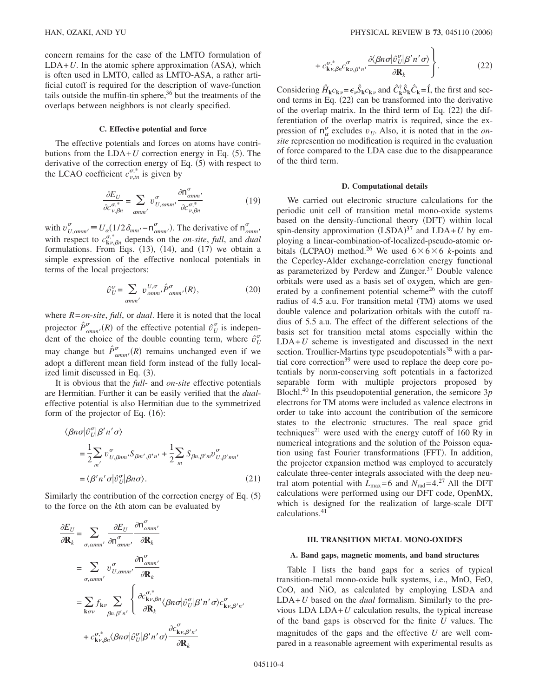concern remains for the case of the LMTO formulation of  $LDA+U$ . In the atomic sphere approximation (ASA), which is often used in LMTO, called as LMTO-ASA, a rather artificial cutoff is required for the description of wave-function tails outside the muffin-tin sphere,<sup>36</sup> but the treatments of the overlaps between neighbors is not clearly specified.

## **C. Effective potential and force**

The effective potentials and forces on atoms have contributions from the  $LDA+U$  correction energy in Eq. (5). The derivative of the correction energy of Eq.  $(5)$  with respect to the LCAO coefficient  $c_{\nu,m}^{\sigma,*}$  is given by

$$
\frac{\partial E_U}{\partial c_{\nu,\beta n}^{\sigma,*}} = \sum_{\text{comm}'} v_{U,\text{comm}}^{\sigma} \frac{\partial n_{\text{amm}'}^{\sigma}}{\partial c_{\nu,\beta n}^{\sigma,*}} \tag{19}
$$

with  $v_{U, \text{comm}}^{\sigma} = U_{\alpha} (1/2 \delta_{mm'} - n_{\text{comm}}^{\sigma})$ . The derivative of  $n_{\text{comm}}^{\sigma}$ with respect to  $c_{\mathbf{k}\nu,\beta n}^{\sigma,*}$  depends on the *on-site*, *full*, and *dual* formulations. From Eqs.  $(13)$ ,  $(14)$ , and  $(17)$  we obtain a simple expression of the effective nonlocal potentials in terms of the local projectors:

$$
\hat{\upsilon}^{\sigma}_{U} = \sum_{\text{comm'}} \upsilon^{U,\sigma}_{\text{amm'}} \hat{P}^{\sigma}_{\text{amm'}}(R), \qquad (20)
$$

where *R*=*on*-*site*, *full*, or *dual*. Here it is noted that the local projector  $\hat{P}^{\sigma}_{\text{comm}'}(R)$  of the effective potential  $\hat{v}^{\sigma}_{U}$  is independent of the choice of the double counting term, where  $\hat{v}_U^{\sigma}$ may change but  $\hat{P}^{\sigma}_{\text{comm}'}(R)$  remains unchanged even if we adopt a different mean field form instead of the fully localized limit discussed in Eq. (3).

It is obvious that the *full*- and *on-site* effective potentials are Hermitian. Further it can be easily verified that the *dual*effective potential is also Hermitian due to the symmetrized form of the projector of Eq.  $(16)$ :

$$
\langle \beta n \sigma | \hat{v}_U^{\sigma} | \beta' n' \sigma \rangle
$$
  
=  $\frac{1}{2} \sum_{m'} v_{U, \beta n m'}^{\sigma} S_{\beta m', \beta' n'} + \frac{1}{2} \sum_{m} S_{\beta n, \beta' m} v_{U, \beta' m n'}^{\sigma}$   
=  $\langle \beta' n' \sigma | \hat{v}_U^{\sigma} | \beta n \sigma \rangle$ . (21)

Similarly the contribution of the correction energy of Eq.  $(5)$ to the force on the *k*th atom can be evaluated by

$$
\frac{\partial E_U}{\partial \mathbf{R}_k} = \sum_{\sigma, \text{comm'}} \frac{\partial E_U}{\partial \mathbf{n}_{\text{comm'}}^{\sigma}} \frac{\partial \mathbf{n}_{\text{amm'}}^{\sigma}}{\partial \mathbf{R}_k}
$$
\n
$$
= \sum_{\sigma, \text{comm'}} v_{U, \text{comm'}}^{\sigma} \frac{\partial \mathbf{n}_{\text{amm'}}^{\sigma}}{\partial \mathbf{R}_k}
$$
\n
$$
= \sum_{\mathbf{k}\sigma\nu} f_{\mathbf{k}\nu} \sum_{\beta n, \beta' n'} \left\{ \frac{\partial c_{\mathbf{k}\nu, \beta n}^{\sigma}}{\partial \mathbf{R}_k} \langle \beta n \sigma | \hat{v}_U^{\sigma} | \beta' n' \sigma \rangle c_{\mathbf{k}\nu, \beta' n'}^{\sigma} \right.
$$
\n
$$
+ c_{\mathbf{k}\nu, \beta n}^{\sigma, *} \langle \beta n \sigma | \hat{v}_U^{\sigma} | \beta' n' \sigma \rangle \frac{\partial c_{\mathbf{k}\nu, \beta' n'}^{\sigma}}{\partial \mathbf{R}_k}
$$

$$
+c_{\mathbf{k}\nu,\beta n}^{\sigma,*}c_{\mathbf{k}\nu,\beta' n'}^{\sigma'}\frac{\partial\langle\beta n\sigma|\hat{v}_U^{\sigma}|\beta'n'\sigma\rangle}{\partial \mathbf{R}_k}\Bigg\}.
$$
 (22)

Considering  $\hat{H}_{\mathbf{k}}c_{\mathbf{k}\nu} = \epsilon_{\nu}\hat{S}_{\mathbf{k}}c_{\mathbf{k}\nu}$  and  $\hat{C}_{\mathbf{k}}^{\dagger}\hat{S}_{\mathbf{k}}\hat{C}_{\mathbf{k}} = \hat{\mathbf{l}}$ , the first and second terms in Eq. (22) can be transformed into the derivative of the overlap matrix. In the third term of Eq. (22) the differentiation of the overlap matrix is required, since the expression of  $n_{\alpha}^{\sigma}$  excludes  $v_U$ . Also, it is noted that in the *on site* represention no modification is required in the evaluation of force compared to the LDA case due to the disappearance of the third term.

#### **D. Computational details**

We carried out electronic structure calculations for the periodic unit cell of transition metal mono-oxide systems based on the density-functional theory (DFT) within local spin-density approximation  $(LSDA)^{37}$  and  $LDA+U$  by employing a linear-combination-of-localized-pseudo-atomic orbitals (LCPAO) method.<sup>26</sup> We used  $6 \times 6 \times 6$  *k*-points and the Ceperley-Alder exchange-correlation energy functional as parameterized by Perdew and Zunger.<sup>37</sup> Double valence orbitals were used as a basis set of oxygen, which are generated by a confinement potential scheme<sup>26</sup> with the cutoff radius of 4.5 a.u. For transition metal (TM) atoms we used double valence and polarization orbitals with the cutoff radius of 5.5 a.u. The effect of the different selections of the basis set for transition metal atoms especially within the  $LDA+U$  scheme is investigated and discussed in the next section. Troullier-Martins type pseudopotentials<sup>38</sup> with a partial core correction<sup>39</sup> were used to replace the deep core potentials by norm-conserving soft potentials in a factorized separable form with multiple projectors proposed by Blochl.40 In this pseudopotential generation, the semicore 3*p* electrons for TM atoms were included as valence electrons in order to take into account the contribution of the semicore states to the electronic structures. The real space grid techniques<sup>21</sup> were used with the energy cutoff of 160 Ry in numerical integrations and the solution of the Poisson equation using fast Fourier transformations (FFT). In addition, the projector expansion method was employed to accurately calculate three-center integrals associated with the deep neutral atom potential with  $L_{\text{max}}=6$  and  $N_{\text{rad}}=4.27$  All the DFT calculations were performed using our DFT code, OpenMX, which is designed for the realization of large-scale DFT calculations.41

#### **III. TRANSITION METAL MONO-OXIDES**

#### **A. Band gaps, magnetic moments, and band structures**

Table I lists the band gaps for a series of typical transition-metal mono-oxide bulk systems, i.e., MnO, FeO, CoO, and NiO, as calculated by employing LSDA and LDA+*U* based on the *dual* formalism. Similarly to the previous LDA LDA+*U* calculation results, the typical increase of the band gaps is observed for the finite *U¯* values. The magnitudes of the gaps and the effective *U* are well compared in a reasonable agreement with experimental results as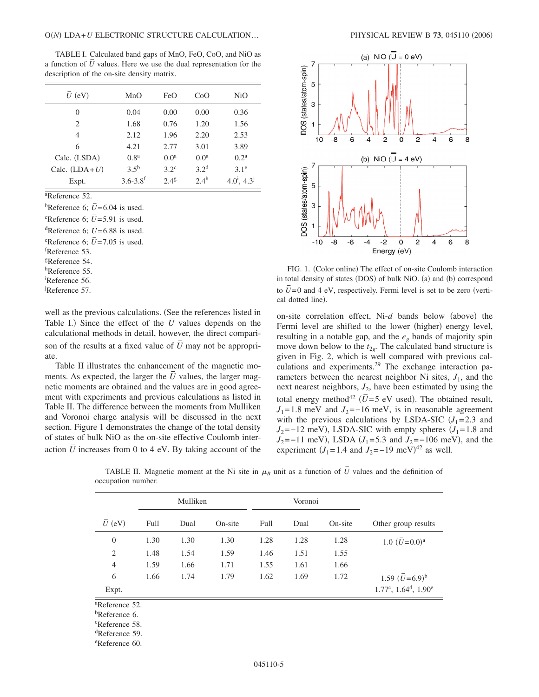TABLE I. Calculated band gaps of MnO, FeO, CoO, and NiO as a function of  $\bar{U}$  values. Here we use the dual representation for the description of the on-site density matrix.

| $U$ (eV)        | MnO                      | FeO              | CoO              | NiO                   |
|-----------------|--------------------------|------------------|------------------|-----------------------|
| 0               | 0.04                     | 0.00             | 0.00             | 0.36                  |
| $\mathfrak{D}$  | 1.68                     | 0.76             | 1.20             | 1.56                  |
| 4               | 2.12                     | 1.96             | 2.20             | 2.53                  |
| 6               | 4.21                     | 2.77             | 3.01             | 3.89                  |
| Calc. (LSDA)    | 0.8 <sup>a</sup>         | 0.0 <sup>a</sup> | 0.0 <sup>a</sup> | 0.2 <sup>a</sup>      |
| Calc. $(LDA+U)$ | $3.5^{b}$                | $3.2^{\circ}$    | 3.2 <sup>d</sup> | 3.1 <sup>e</sup>      |
| Expt.           | $3.6 - 3.8$ <sup>f</sup> | 2.4 <sup>g</sup> | 2.4 <sup>h</sup> | $4.0^{i}$ , $4.3^{j}$ |

a Reference 52.

<sup>b</sup>Reference 6;  $\overline{U}$  = 6.04 is used.

 $^{\circ}$ Reference 6;  $\bar{U}$ =5.91 is used.

<sup>d</sup>Reference 6:  $\overline{U}$  = 6.88 is used.

experience 6;  $\overline{U}$  = 7.05 is used.

f Reference 53.

gReference 54.

hReference 55.

i Reference 56.

j Reference 57.

well as the previous calculations. (See the references listed in Table I.) Since the effect of the  $\overline{U}$  values depends on the calculational methods in detail, however, the direct comparison of the results at a fixed value of  $\overline{U}$  may not be appropriate.

Table II illustrates the enhancement of the magnetic moments. As expected, the larger the  $\overline{U}$  values, the larger magnetic moments are obtained and the values are in good agreement with experiments and previous calculations as listed in Table II. The difference between the moments from Mulliken and Voronoi charge analysis will be discussed in the next section. Figure 1 demonstrates the change of the total density of states of bulk NiO as the on-site effective Coulomb interaction  $\overline{U}$  increases from 0 to 4 eV. By taking account of the



FIG. 1. (Color online) The effect of on-site Coulomb interaction in total density of states (DOS) of bulk NiO. (a) and (b) correspond to  $\bar{U}$ =0 and 4 eV, respectively. Fermi level is set to be zero (vertical dotted line).

on-site correlation effect, Ni-d bands below (above) the Fermi level are shifted to the lower (higher) energy level, resulting in a notable gap, and the *eg* bands of majority spin move down below to the  $t_{2g}$ . The calculated band structure is given in Fig. 2, which is well compared with previous calculations and experiments.29 The exchange interaction parameters between the nearest neighbor Ni sites,  $J_1$ , and the next nearest neighbors,  $J_2$ , have been estimated by using the total energy method<sup>42</sup>  $(\bar{U}=5 \text{ eV} \text{ used})$ . The obtained result,  $J_1$ = 1.8 meV and  $J_2$ =−16 meV, is in reasonable agreement with the previous calculations by LSDA-SIC  $(J_1=2.3$  and  $J_2$ =−12 meV), LSDA-SIC with empty spheres  $(J_1=1.8$  and  $J_2$ =−11 meV), LSDA ( $J_1$ =5.3 and  $J_2$ =−106 meV), and the experiment  $(J_1 = 1.4 \text{ and } J_2 = -19 \text{ meV})^{42}$  as well.

|                     | Mulliken |      |         | Voronoi |      |         |                                |
|---------------------|----------|------|---------|---------|------|---------|--------------------------------|
| $\overline{U}$ (eV) | Full     | Dual | On-site | Full    | Dual | On-site | Other group results            |
| $\boldsymbol{0}$    | 1.30     | 1.30 | 1.30    | 1.28    | 1.28 | 1.28    | 1.0 $(\bar{U}=0.0)^a$          |
| $\overline{2}$      | 1.48     | 1.54 | 1.59    | 1.46    | 1.51 | 1.55    |                                |
| $\overline{4}$      | 1.59     | 1.66 | 1.71    | 1.55    | 1.61 | 1.66    |                                |
| 6                   | 1.66     | 1.74 | 1.79    | 1.62    | 1.69 | 1.72    | 1.59 $(\bar{U} = 6.9)^b$       |
| Expt.               |          |      |         |         |      |         | $1.77^c$ , $1.64^d$ , $1.90^e$ |

TABLE II. Magnetic moment at the Ni site in  $\mu_B$  unit as a function of  $\bar{U}$  values and the definition of occupation number.

a Reference 52.

b Reference 6.

c Reference 58.

d Reference 59.

e Reference 60.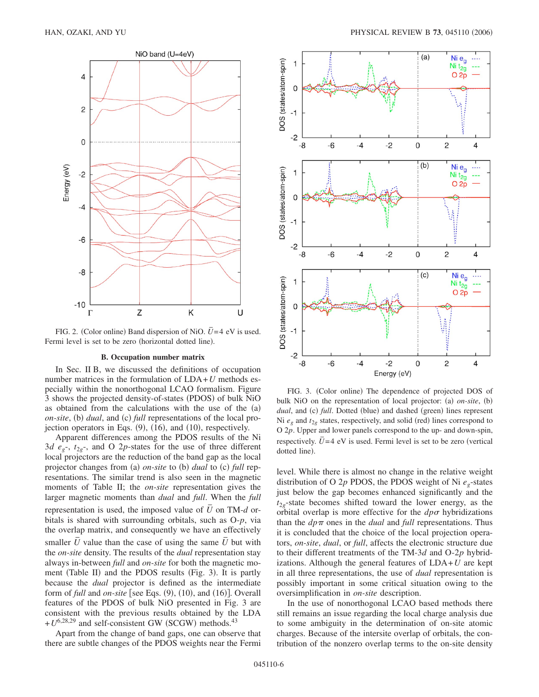

FIG. 2. (Color online) Band dispersion of NiO.  $\bar{U}$  = 4 eV is used. Fermi level is set to be zero (horizontal dotted line).

#### **B. Occupation number matrix**

In Sec. II B, we discussed the definitions of occupation number matrices in the formulation of LDA+*U* methods especially within the nonorthogonal LCAO formalism. Figure 3 shows the projected density-of-states (PDOS) of bulk NiO as obtained from the calculations with the use of the (a) *on-site*, (b) *dual*, and (c) *full* representations of the local projection operators in Eqs. (9), (16), and (10), respectively.

Apparent differences among the PDOS results of the Ni 3*d e<sub>g</sub>*-,  $t_{2g}$ -, and O 2*p*-states for the use of three different local projectors are the reduction of the band gap as the local projector changes from (a) on-site to (b) dual to (c) full representations. The similar trend is also seen in the magnetic moments of Table II; the *on-site* representation gives the larger magnetic moments than *dual* and *full*. When the *full* representation is used, the imposed value of  $\overline{U}$  on TM- $d$  orbitals is shared with surrounding orbitals, such as O-*p*, via the overlap matrix, and consequently we have an effectively smaller *U* value than the case of using the same *U* but with the *on-site* density. The results of the *dual* representation stay always in-between *full* and *on-site* for both the magnetic moment (Table II) and the PDOS results (Fig. 3). It is partly because the *dual* projector is defined as the intermediate form of  $full$  and  $on\text{-}site$  [see Eqs.  $(9)$ ,  $(10)$ , and  $(16)$ ]. Overall features of the PDOS of bulk NiO presented in Fig. 3 are consistent with the previous results obtained by the LDA  $+ U^{6,28,29}$  and self-consistent GW (SCGW) methods.<sup>43</sup>

Apart from the change of band gaps, one can observe that there are subtle changes of the PDOS weights near the Fermi



FIG. 3. (Color online) The dependence of projected DOS of bulk NiO on the representation of local projector: (a) on-site, (b) dual, and (c) full. Dotted (blue) and dashed (green) lines represent Ni  $e_g$  and  $t_{2g}$  states, respectively, and solid (red) lines correspond to O 2*p*. Upper and lower panels correspond to the up- and down-spin, respectively.  $\overline{U}$  = 4 eV is used. Fermi level is set to be zero (vertical dotted line).

level. While there is almost no change in the relative weight distribution of O 2*p* PDOS, the PDOS weight of Ni *eg*-states just below the gap becomes enhanced significantly and the  $t_{2g}$ -state becomes shifted toward the lower energy, as the orbital overlap is more effective for the  $dp\sigma$  hybridizations than the  $dp\pi$  ones in the *dual* and *full* representations. Thus it is concluded that the choice of the local projection operators, *on-site*, *dual*, or *full*, affects the electronic structure due to their different treatments of the TM-3*d* and O-2*p* hybridizations. Although the general features of LDA+*U* are kept in all three representations, the use of *dual* representation is possibly important in some critical situation owing to the oversimplification in *on-site* description.

In the use of nonorthogonal LCAO based methods there still remains an issue regarding the local charge analysis due to some ambiguity in the determination of on-site atomic charges. Because of the intersite overlap of orbitals, the contribution of the nonzero overlap terms to the on-site density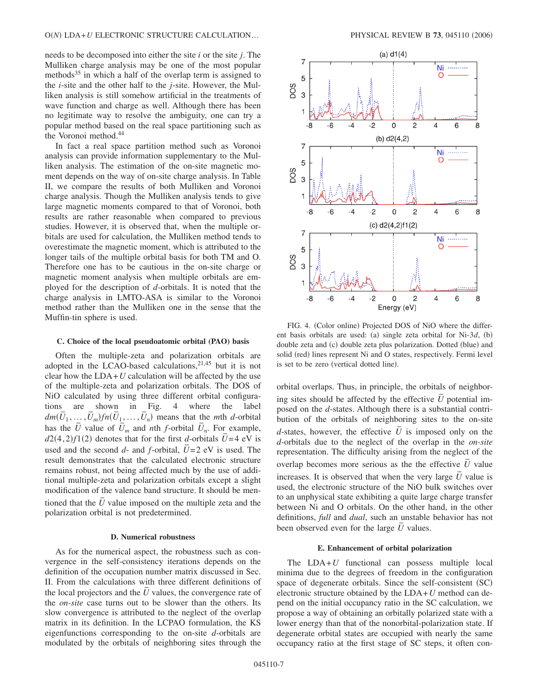needs to be decomposed into either the site *i* or the site *j*. The Mulliken charge analysis may be one of the most popular methods<sup>35</sup> in which a half of the overlap term is assigned to the *i*-site and the other half to the *j*-site. However, the Mulliken analysis is still somehow artificial in the treatments of wave function and charge as well. Although there has been no legitimate way to resolve the ambiguity, one can try a popular method based on the real space partitioning such as the Voronoi method.<sup>44</sup>

In fact a real space partition method such as Voronoi analysis can provide information supplementary to the Mulliken analysis. The estimation of the on-site magnetic moment depends on the way of on-site charge analysis. In Table II, we compare the results of both Mulliken and Voronoi charge analysis. Though the Mulliken analysis tends to give large magnetic moments compared to that of Voronoi, both results are rather reasonable when compared to previous studies. However, it is observed that, when the multiple orbitals are used for calculation, the Mulliken method tends to overestimate the magnetic moment, which is attributed to the longer tails of the multiple orbital basis for both TM and O. Therefore one has to be cautious in the on-site charge or magnetic moment analysis when multiple orbitals are employed for the description of *d*-orbitals. It is noted that the charge analysis in LMTO-ASA is similar to the Voronoi method rather than the Mulliken one in the sense that the Muffin-tin sphere is used.

#### **C. Choice of the local pseudoatomic orbital (PAO) basis**

Often the multiple-zeta and polarization orbitals are adopted in the LCAO-based calculations, $2^{1,45}$  but it is not clear how the  $LDA+U$  calculation will be affected by the use of the multiple-zeta and polarization orbitals. The DOS of NiO calculated by using three different orbital configurations are shown in Fig. 4 where the label  $dm(\bar{U}_1, \ldots, \bar{U}_m)$  *fn* $(\bar{U}_1, \ldots, \bar{U}_n)$  means that the *mth d*-orbital has the  $\overline{U}$  value of  $\overline{U}_m$  and *n*th *f*-orbital  $\overline{U}_n$ . For example, *d*2(4,2)*f*1(2) denotes that for the first *d*-orbitals  $\overline{U}$  =4 eV is used and the second  $d$ - and  $f$ -orbital,  $\overline{U}$ =2 eV is used. The result demonstrates that the calculated electronic structure remains robust, not being affected much by the use of additional multiple-zeta and polarization orbitals except a slight modification of the valence band structure. It should be mentioned that the  $\bar{U}$  value imposed on the multiple zeta and the polarization orbital is not predetermined.

## **D. Numerical robustness**

As for the numerical aspect, the robustness such as convergence in the self-consistency iterations depends on the definition of the occupation number matrix discussed in Sec. II. From the calculations with three different definitions of the local projectors and the *U* values, the convergence rate of the *on-site* case turns out to be slower than the others. Its slow convergence is attributed to the neglect of the overlap matrix in its definition. In the LCPAO formulation, the KS eigenfunctions corresponding to the on-site *d*-orbitals are modulated by the orbitals of neighboring sites through the



FIG. 4. (Color online) Projected DOS of NiO where the different basis orbitals are used: (a) single zeta orbital for Ni-3*d*, (b) double zeta and (c) double zeta plus polarization. Dotted (blue) and solid (red) lines represent Ni and O states, respectively. Fermi level is set to be zero (vertical dotted line).

orbital overlaps. Thus, in principle, the orbitals of neighboring sites should be affected by the effective  $\bar{U}$  potential imposed on the *d*-states. Although there is a substantial contribution of the orbitals of neighboring sites to the on-site *d*-states, however, the effective  $\overline{U}$  is imposed only on the *d*-orbitals due to the neglect of the overlap in the *on-site* representation. The difficulty arising from the neglect of the overlap becomes more serious as the the effective  $\bar{U}$  value increases. It is observed that when the very large  $\bar{U}$  value is used, the electronic structure of the NiO bulk switches over to an unphysical state exhibiting a quite large charge transfer between Ni and O orbitals. On the other hand, in the other definitions, *full* and *dual*, such an unstable behavior has not been observed even for the large  $\overline{U}$  values.

### **E. Enhancement of orbital polarization**

The LDA+*U* functional can possess multiple local minima due to the degrees of freedom in the configuration space of degenerate orbitals. Since the self-consistent (SC) electronic structure obtained by the LDA+*U* method can depend on the initial occupancy ratio in the SC calculation, we propose a way of obtaining an orbitally polarized state with a lower energy than that of the nonorbital-polarization state. If degenerate orbital states are occupied with nearly the same occupancy ratio at the first stage of SC steps, it often con-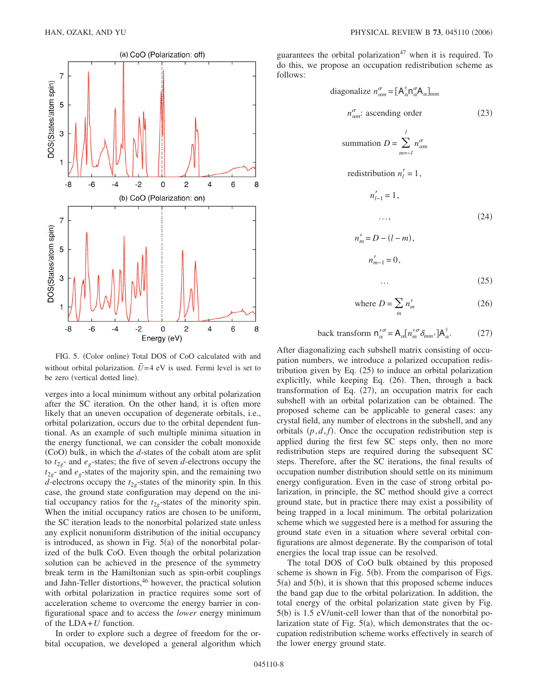

FIG. 5. (Color online) Total DOS of CoO calculated with and without orbital polarization.  $\overline{U}$  = 4 eV is used. Fermi level is set to be zero (vertical dotted line).

verges into a local minimum without any orbital polarization after the SC iteration. On the other hand, it is often more likely that an uneven occupation of degenerate orbitals, i.e., orbital polarization, occurs due to the orbital dependent funtional. As an example of such multiple minima situation in the energy functional, we can consider the cobalt monoxide (CoO) bulk, in which the *d*-states of the cobalt atom are split to  $t_{2g}$ - and  $e_g$ -states; the five of seven *d*-electrons occupy the  $t_{2g}$ - and  $e_g$ -states of the majority spin, and the remaining two *d*-electrons occupy the  $t_{2g}$ -states of the minority spin. In this case, the ground state configuration may depend on the initial occupancy ratios for the  $t_{2g}$ -states of the minority spin. When the initial occupancy ratios are chosen to be uniform, the SC iteration leads to the nonorbital polarized state unless any explicit nonuniform distribution of the initial occupancy is introduced, as shown in Fig.  $5(a)$  of the nonorbital polarized of the bulk CoO. Even though the orbital polarization solution can be achieved in the presence of the symmetry break term in the Hamiltonian such as spin-orbit couplings and Jahn-Teller distortions,<sup>46</sup> however, the practical solution with orbital polarization in practice requires some sort of acceleration scheme to overcome the energy barrier in configurational space and to access the *lower* energy minimum of the LDA+*U* function.

In order to explore such a degree of freedom for the orbital occupation, we developed a general algorithm which guarantees the orbital polarization<sup>47</sup> when it is required. To do this, we propose an occupation redistribution scheme as follows:

diagonalize 
$$
n_{\text{cm}}^{\sigma} = [\mathbf{A}_{\alpha}^{\dagger} \mathbf{n}_{\alpha}^{\sigma} \mathbf{A}_{\alpha}]_{mm}
$$
  
\n $n_{\text{cm}}^{\sigma}$ : ascending order (23)  
\nsummation  $D = \sum_{m=-l}^{l} n_{\text{cm}}^{\sigma}$   
\nredistribution  $n_{l}^{\prime} = 1$ ,  
\n $n_{l-1}^{\prime} = 1$ ,  
\n...,  
\n $n_{m}^{\prime} = D - (l - m)$ ,  
\n $n_{m-1}^{\prime} = 0$ ,

$$
\cdots \qquad \qquad (25)
$$

where 
$$
D = \sum_{m} n'_{m}
$$
 (26)

back transform 
$$
n'_{\alpha} = A_{\alpha} [n'^{\sigma}_{m} \delta_{mm'}] A_{\alpha}^{\dagger}.
$$
 (27)

After diagonalizing each subshell matrix consisting of occupation numbers, we introduce a polarized occupation redistribution given by Eq.  $(25)$  to induce an orbital polarization explicitly, while keeping Eq. (26). Then, through a back transformation of Eq. (27), an occupation matrix for each subshell with an orbital polarization can be obtained. The proposed scheme can be applicable to general cases: any crystal field, any number of electrons in the subshell, and any orbitals  $(p, d, f)$ . Once the occupation redistribution step is applied during the first few SC steps only, then no more redistribution steps are required during the subsequent SC steps. Therefore, after the SC iterations, the final results of occupation number distribution should settle on its minimum energy configuration. Even in the case of strong orbital polarization, in principle, the SC method should give a correct ground state, but in practice there may exist a possibility of being trapped in a local minimum. The orbital polarization scheme which we suggested here is a method for assuring the ground state even in a situation where several orbital configurations are almost degenerate. By the comparison of total energies the local trap issue can be resolved.

The total DOS of CoO bulk obtained by this proposed scheme is shown in Fig.  $5(b)$ . From the comparison of Figs.  $5(a)$  and  $5(b)$ , it is shown that this proposed scheme induces the band gap due to the orbital polarization. In addition, the total energy of the orbital polarization state given by Fig. 5(b) is 1.5 eV/unit-cell lower than that of the nonorbital polarization state of Fig.  $5(a)$ , which demonstrates that the occupation redistribution scheme works effectively in search of the lower energy ground state.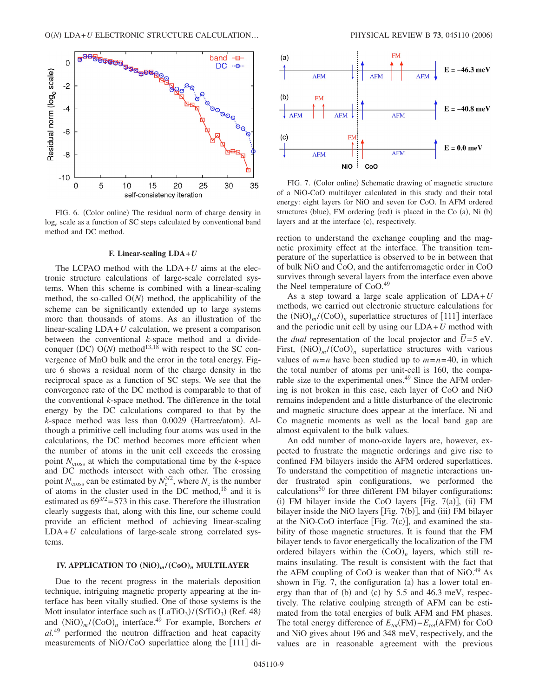

FIG. 6. (Color online) The residual norm of charge density in log*<sup>e</sup>* scale as a function of SC steps calculated by conventional band method and DC method.

#### **F. Linear-scaling LDA+***U*

The LCPAO method with the LDA+*U* aims at the electronic structure calculations of large-scale correlated systems. When this scheme is combined with a linear-scaling method, the so-called  $O(N)$  method, the applicability of the scheme can be significantly extended up to large systems more than thousands of atoms. As an illustration of the linear-scaling LDA+*U* calculation, we present a comparison between the conventional *k*-space method and a divideconquer (DC)  $O(N)$  method<sup>13,18</sup> with respect to the SC convergence of MnO bulk and the error in the total energy. Figure 6 shows a residual norm of the charge density in the reciprocal space as a function of SC steps. We see that the convergence rate of the DC method is comparable to that of the conventional *k*-space method. The difference in the total energy by the DC calculations compared to that by the k-space method was less than 0.0029 (Hartree/atom). Although a primitive cell including four atoms was used in the calculations, the DC method becomes more efficient when the number of atoms in the unit cell exceeds the crossing point  $N_{\text{cross}}$  at which the computational time by the *k*-space and DC methods intersect with each other. The crossing point  $N_{\text{cross}}$  can be estimated by  $N_c^{3/2}$ , where  $N_c$  is the number of atoms in the cluster used in the DC method, $^{18}$  and it is estimated as  $69^{3/2} = 573$  in this case. Therefore the illustration clearly suggests that, along with this line, our scheme could provide an efficient method of achieving linear-scaling LDA+*U* calculations of large-scale strong correlated systems.

# **IV. APPLICATION TO**  $(NiO)_{m}/(CoO)_{n}$  **MULTILAYER**

Due to the recent progress in the materials deposition technique, intriguing magnetic property appearing at the interface has been vitally studied. One of those systems is the Mott insulator interface such as  $(LaTiO<sub>3</sub>)/(SrTiO<sub>3</sub>)$  (Ref. 48) and  $(NiO)<sub>m</sub>$  /(CoO)<sub>n</sub> interface.<sup>49</sup> For example, Borchers *et al.*<sup>49</sup> performed the neutron diffraction and heat capacity measurements of NiO/CoO superlattice along the [111] di-



FIG. 7. (Color online) Schematic drawing of magnetic structure of a NiO-CoO multilayer calculated in this study and their total energy: eight layers for NiO and seven for CoO. In AFM ordered structures (blue), FM ordering (red) is placed in the Co (a), Ni (b) layers and at the interface (c), respectively.

rection to understand the exchange coupling and the magnetic proximity effect at the interface. The transition temperature of the superlattice is observed to be in between that of bulk NiO and CoO, and the antiferromagetic order in CoO survives through several layers from the interface even above the Neel temperature of CoO.<sup>49</sup>

As a step toward a large scale application of LDA+*U* methods, we carried out electronic structure calculations for the  $(NiO)<sub>m</sub>$ /(CoO)<sub>n</sub> superlattice structures of [111] interface and the periodic unit cell by using our LDA+*U* method with the *dual* representation of the local projector and  $U=5$  eV. First,  $(NiO)<sub>m</sub>$  /(CoO)<sub>n</sub> superlattice structures with various values of  $m=n$  have been studied up to  $m=n=40$ , in which the total number of atoms per unit-cell is 160, the comparable size to the experimental ones.<sup>49</sup> Since the AFM ordering is not broken in this case, each layer of CoO and NiO remains independent and a little disturbance of the electronic and magnetic structure does appear at the interface. Ni and Co magnetic moments as well as the local band gap are almost equivalent to the bulk values.

An odd number of mono-oxide layers are, however, expected to frustrate the magnetic orderings and give rise to confined FM bilayers inside the AFM ordered superlattices. To understand the competition of magnetic interactions under frustrated spin configurations, we performed the  $caloutations<sup>50</sup>$  for three different FM bilayer configurations: (i) FM bilayer inside the CoO layers [Fig.  $7(a)$ ], (ii) FM bilayer inside the NiO layers [Fig. 7(b)], and (iii) FM bilayer at the NiO-CoO interface [Fig.  $7(c)$ ], and examined the stability of those magnetic structures. It is found that the FM bilayer tends to favor energetically the localization of the FM ordered bilayers within the  $(C<sub>oo</sub>)<sub>n</sub>$  layers, which still remains insulating. The result is consistent with the fact that the AFM coupling of CoO is weaker than that of NiO. $49$  As shown in Fig. 7, the configuration (a) has a lower total energy than that of  $(b)$  and  $(c)$  by 5.5 and 46.3 meV, respectively. The relative coulping strength of AFM can be estimated from the total energies of bulk AFM and FM phases. The total energy difference of  $E_{tot}$ (FM)  $-E_{tot}$ (AFM) for CoO and NiO gives about 196 and 348 meV, respectively, and the values are in reasonable agreement with the previous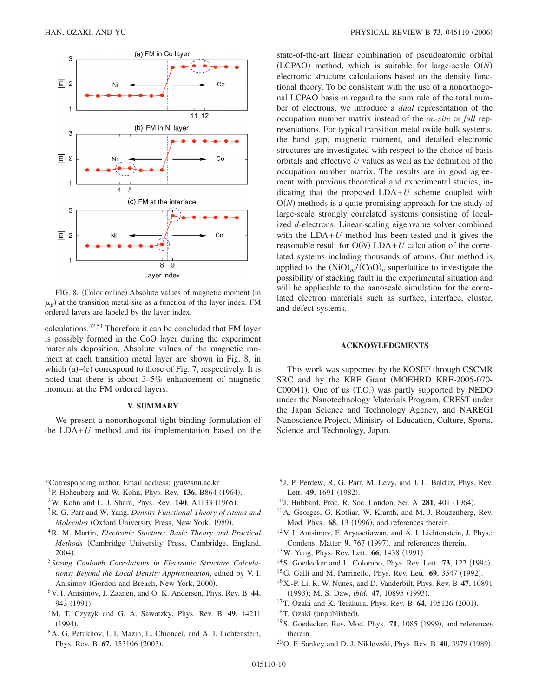

FIG. 8. (Color online) Absolute values of magnetic moment (in  $\mu_B$ ) at the transition metal site as a function of the layer index. FM ordered layers are labeled by the layer index.

calculations.42,51 Therefore it can be concluded that FM layer is possibly formed in the CoO layer during the experiment materials deposition. Absolute values of the magnetic moment at each transition metal layer are shown in Fig. 8, in which  $(a)$ – $(c)$  correspond to those of Fig. 7, respectively. It is noted that there is about 3–5% enhancement of magnetic moment at the FM ordered layers.

## **V. SUMMARY**

We present a nonorthogonal tight-binding formulation of the  $LDA+U$  method and its implementation based on the state-of-the-art linear combination of pseudoatomic orbital  $(LCDAO)$  method, which is suitable for large-scale  $O(N)$ electronic structure calculations based on the density functional theory. To be consistent with the use of a nonorthogonal LCPAO basis in regard to the sum rule of the total number of electrons, we introduce a *dual* representation of the occupation number matrix instead of the *on-site* or *full* representations. For typical transition metal oxide bulk systems, the band gap, magnetic moment, and detailed electronic structures are investigated with respect to the choice of basis orbitals and effective *U* values as well as the definition of the occupation number matrix. The results are in good agreement with previous theoretical and experimental studies, indicating that the proposed LDA+*U* scheme coupled with  $O(N)$  methods is a quite promising approach for the study of large-scale strongly correlated systems consisting of localized *d*-electrons. Linear-scaling eigenvalue solver combined with the  $LDA+U$  method has been tested and it gives the reasonable result for  $O(N)$  LDA+*U* calculation of the correlated systems including thousands of atoms. Our method is applied to the  $(NiO)<sub>m</sub>$ /(CoO)<sub>n</sub> superlattice to investigate the possibility of stacking fault in the experimental situation and will be applicable to the nanoscale simulation for the correlated electron materials such as surface, interface, cluster, and defect systems.

#### **ACKNOWLEDGMENTS**

This work was supported by the KOSEF through CSCMR SRC and by the KRF Grant (MOEHRD KRF-2005-070-C00041). One of us (T.O.) was partly supported by NEDO under the Nanotechnology Materials Program, CREST under the Japan Science and Technology Agency, and NAREGI Nanoscience Project, Ministry of Education, Culture, Sports, Science and Technology, Japan.

\*Corresponding author. Email address: jyu@snu.ac.kr

- <sup>1</sup>P. Hohenberg and W. Kohn, Phys. Rev. **136**, B864 (1964).
- <sup>2</sup>W. Kohn and L. J. Sham, Phys. Rev. **140**, A1133 (1965).
- 3R. G. Parr and W. Yang, *Density Functional Theory of Atoms and* Molecules (Oxford University Press, New York, 1989).
- 4R. M. Martin, *Electronic Stucture: Basic Theory and Practical Methods* Cambridge University Press, Cambridge, England, 2004).
- <sup>5</sup> *Strong Coulomb Correlations in Electronic Structure Calculations: Beyond the Local Density Approximation*, edited by V. I. Anisimov (Gordon and Breach, New York, 2000).
- 6V. I. Anisimov, J. Zaanen, and O. K. Andersen, Phys. Rev. B **44**, 943 (1991).
- 7M. T. Czyzyk and G. A. Sawatzky, Phys. Rev. B **49**, 14211  $(1994).$
- 8A. G. Petukhov, I. I. Mazin, L. Chioncel, and A. I. Lichtenstein, Phys. Rev. B 67, 153106 (2003).
- <sup>9</sup> J. P. Perdew, R. G. Parr, M. Levy, and J. L. Balduz, Phys. Rev. Lett. **49**, 1691 (1982).
- <sup>10</sup> J. Hubbard, Proc. R. Soc. London, Ser. A **281**, 401 (1964).
- 11A. Georges, G. Kotliar, W. Krauth, and M. J. Ronzenberg, Rev. Mod. Phys. 68, 13 (1996), and references therein.
- 12V. I. Anisimov, F. Aryasetiawan, and A. I. Lichtenstein, J. Phys.: Condens. Matter 9, 767 (1997), and references therein.
- <sup>13</sup> W. Yang, Phys. Rev. Lett. **66**, 1438 (1991).
- <sup>14</sup> S. Goedecker and L. Colombo, Phys. Rev. Lett. **73**, 122 (1994).
- <sup>15</sup> G. Galli and M. Parrinello, Phys. Rev. Lett. **69**, 3547 (1992).
- 16X.-P. Li, R. W. Nunes, and D. Vanderbilt, Phys. Rev. B **47**, 10891 (1993); M. S. Daw, *ibid.* 47, 10895 (1993).
- <sup>17</sup> T. Ozaki and K. Terakura, Phys. Rev. B **64**, 195126 (2001).
- <sup>18</sup>T. Ozaki (unpublished).
- <sup>19</sup> S. Goedecker, Rev. Mod. Phys. **71**, 1085 (1999), and references therein.
- <sup>20</sup> O. F. Sankey and D. J. Niklewski, Phys. Rev. B **40**, 3979 (1989).